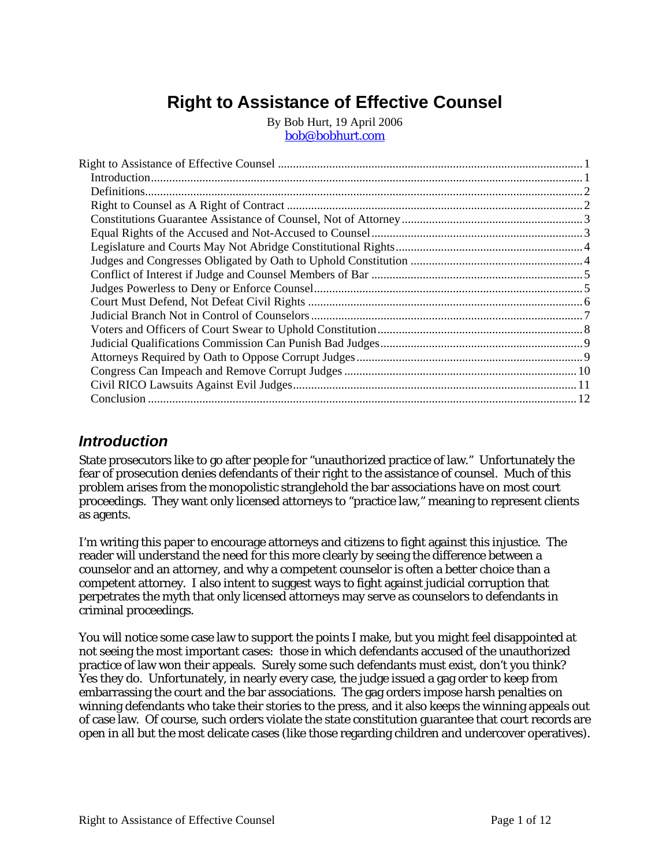# **Right to Assistance of Effective Counsel**

By Bob Hurt, 19 April 2006 [bob@bobhurt.com](mailto:bob@bobhurt.com) 

<span id="page-0-0"></span>

#### *Introduction*

State prosecutors like to go after people for "unauthorized practice of law." Unfortunately the fear of prosecution denies defendants of their right to the assistance of counsel. Much of this problem arises from the monopolistic stranglehold the bar associations have on most court proceedings. They want only licensed attorneys to "practice law," meaning to represent clients as agents.

I'm writing this paper to encourage attorneys and citizens to fight against this injustice. The reader will understand the need for this more clearly by seeing the difference between a counselor and an attorney, and why a competent counselor is often a better choice than a competent attorney. I also intent to suggest ways to fight against judicial corruption that perpetrates the myth that only licensed attorneys may serve as counselors to defendants in criminal proceedings.

You will notice some case law to support the points I make, but you might feel disappointed at not seeing the most important cases: those in which defendants accused of the unauthorized practice of law won their appeals. Surely some such defendants must exist, don't you think? Yes they do. Unfortunately, in nearly every case, the judge issued a gag order to keep from embarrassing the court and the bar associations. The gag orders impose harsh penalties on winning defendants who take their stories to the press, and it also keeps the winning appeals out of case law. Of course, such orders violate the state constitution guarantee that court records are open in all but the most delicate cases (like those regarding children and undercover operatives).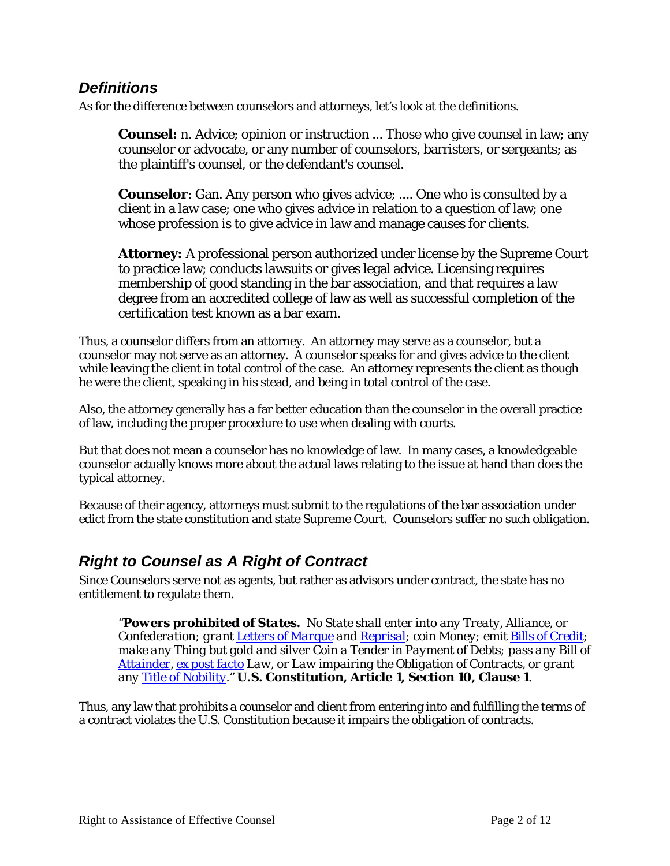#### <span id="page-1-0"></span>*Definitions*

As for the difference between counselors and attorneys, let's look at the definitions.

**Counsel:** n. Advice; opinion or instruction ... Those who give counsel in law; any counselor or advocate, or any number of counselors, barristers, or sergeants; as the plaintiff's counsel, or the defendant's counsel.

**Counselor**: Gan. Any person who gives advice; .... One who is consulted by a client in a law case; one who gives advice in relation to a question of law; one whose profession is to give advice in law and manage causes for clients.

**Attorney:** A professional person authorized under license by the Supreme Court to practice law; conducts lawsuits or gives legal advice. Licensing requires membership of good standing in the bar association, and that requires a law degree from an accredited college of law as well as successful completion of the certification test known as a bar exam.

Thus, a counselor differs from an attorney. An attorney may serve as a counselor, but a counselor may not serve as an attorney. A counselor speaks for and gives advice to the client while leaving the client in total control of the case. An attorney represents the client as though he were the client, speaking in his stead, and being in total control of the case.

Also, the attorney generally has a far better education than the counselor in the overall practice of law, including the proper procedure to use when dealing with courts.

But that does not mean a counselor has no knowledge of law. In many cases, a knowledgeable counselor actually knows more about the actual laws relating to the issue at hand than does the typical attorney.

Because of their agency, attorneys must submit to the regulations of the bar association under edict from the state constitution and state Supreme Court. Counselors suffer no such obligation.

# *Right to Counsel as A Right of Contract*

Since Counselors serve not as agents, but rather as advisors under contract, the state has no entitlement to regulate them.

"*Powers prohibited of States. No State shall enter into any Treaty, Alliance, or Confederation; grant [Letters of Marque](http://www.usconstitution.net/glossary.html#MARQUE) and [Reprisal;](http://www.usconstitution.net/glossary.html#REPRISAL) coin Money; emit [Bills of Credit](http://www.usconstitution.net/glossary.html#CREDIT); make any Thing but gold and silver Coin a Tender in Payment of Debts; pass any Bill of [Attainder,](http://www.usconstitution.net/glossary.html#ATTAINDER) [ex post facto](http://www.usconstitution.net/glossary.html#EXPOST) Law, or Law impairing the Obligation of Contracts, or grant any [Title of Nobility.](http://www.usconstitution.net/glossary.html#NOBILITY)"* **U.S. Constitution, Article 1, Section 10, Clause 1**.

Thus, any law that prohibits a counselor and client from entering into and fulfilling the terms of a contract violates the U.S. Constitution because it impairs the obligation of contracts.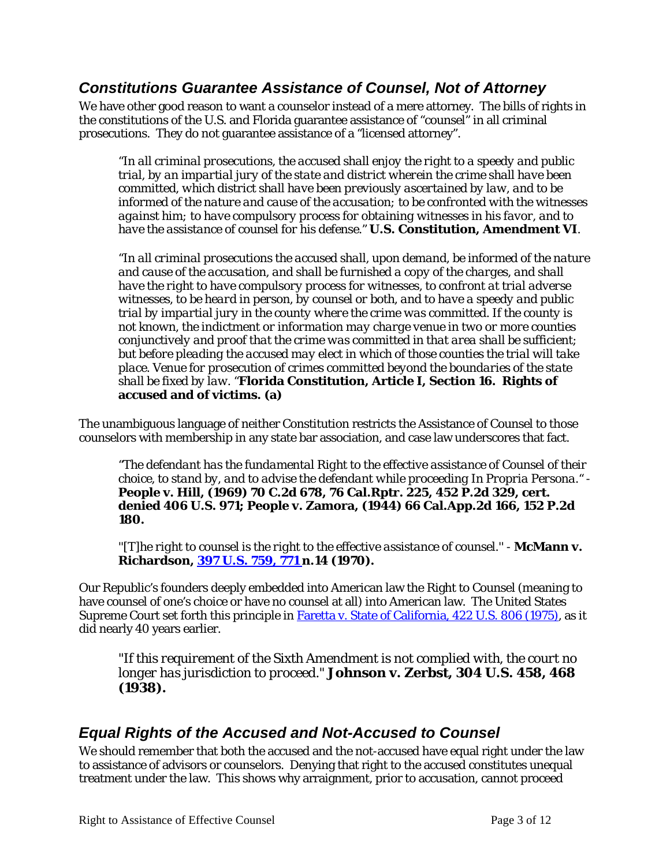### <span id="page-2-0"></span>*Constitutions Guarantee Assistance of Counsel, Not of Attorney*

We have other good reason to want a counselor instead of a mere attorney. The bills of rights in the constitutions of the U.S. and Florida guarantee assistance of "counsel" in all criminal prosecutions. They do not guarantee assistance of a "licensed attorney".

"*In all criminal prosecutions, the accused shall enjoy the right to a speedy and public trial, by an impartial jury of the state and district wherein the crime shall have been committed, which district shall have been previously ascertained by law, and to be informed of the nature and cause of the accusation; to be confronted with the witnesses against him; to have compulsory process for obtaining witnesses in his favor, and to have the assistance of counsel for his defense."* **U.S. Constitution, Amendment VI**.

"*In all criminal prosecutions the accused shall, upon demand, be informed of the nature and cause of the accusation, and shall be furnished a copy of the charges, and shall have the right to have compulsory process for witnesses, to confront at trial adverse witnesses, to be heard in person, by counsel or both, and to have a speedy and public trial by impartial jury in the county where the crime was committed. If the county is not known, the indictment or information may charge venue in two or more counties conjunctively and proof that the crime was committed in that area shall be sufficient; but before pleading the accused may elect in which of those counties the trial will take place. Venue for prosecution of crimes committed beyond the boundaries of the state shall be fixed by law.* "**Florida Constitution, Article I, Section 16. Rights of accused and of victims. (a)**

The unambiguous language of neither Constitution restricts the Assistance of Counsel to those counselors with membership in any state bar association, and case law underscores that fact.

"*The defendant has the fundamental Right to the effective assistance of Counsel of their choice, to stand by, and to advise the defendant while proceeding In Propria Persona."* - **People v. Hill, (1969) 70 C.2d 678, 76 Cal.Rptr. 225, 452 P.2d 329, cert. denied 406 U.S. 971; People v. Zamora, (1944) 66 Cal.App.2d 166, 152 P.2d 180.**

''*[T]he right to counsel is the right to the effective assistance of counsel.*'' - **McMann v. Richardson, [397 U.S. 759, 771 n](http://www.findlaw.com/scripts/getcase.pl?navby=case&court=us&vol=397&invol=759#771).14 (1970).**

Our Republic's founders deeply embedded into American law the Right to Counsel (meaning to have counsel of one's choice or have no counsel at all) into American law. The United States Supreme Court set forth this principle in **Faretta v. State of California**, 422 U.S. 806 (1975), as it did nearly 40 years earlier.

"*If this requirement of the Sixth Amendment is not complied with, the court no longer has jurisdiction to proceed*." **Johnson v. Zerbst, 304 U.S. 458, 468 (1938).**

### *Equal Rights of the Accused and Not-Accused to Counsel*

We should remember that both the accused and the not-accused have equal right under the law to assistance of advisors or counselors. Denying that right to the accused constitutes unequal treatment under the law. This shows why arraignment, prior to accusation, cannot proceed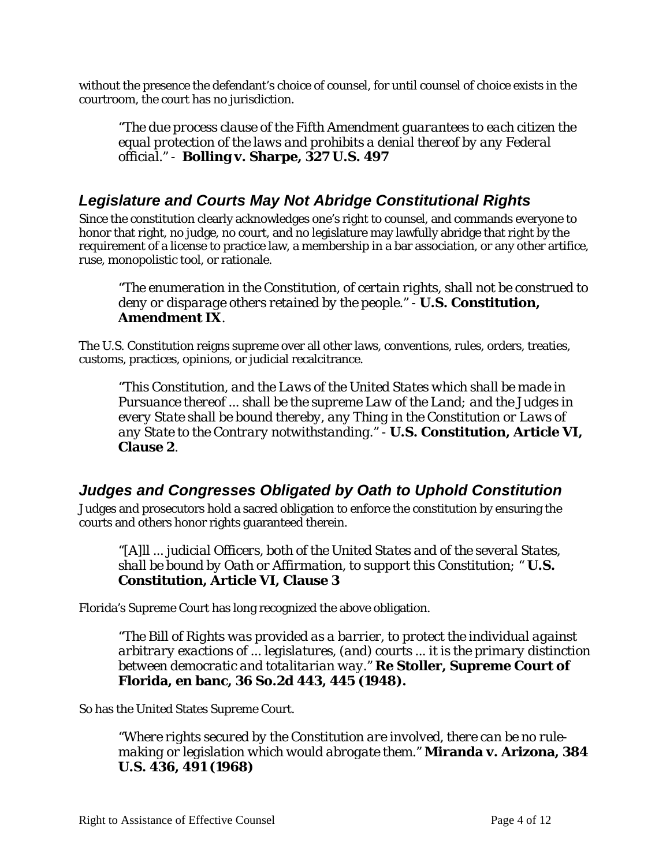<span id="page-3-0"></span>without the presence the defendant's choice of counsel, for until counsel of choice exists in the courtroom, the court has no jurisdiction.

"*The due process clause of the Fifth Amendment guarantees to each citizen the equal protection of the laws and prohibits a denial thereof by any Federal official.*" - **Bolling v. Sharpe, 327 U.S. 497**

## *Legislature and Courts May Not Abridge Constitutional Rights*

Since the constitution clearly acknowledges one's right to counsel, and commands everyone to honor that right, no judge, no court, and no legislature may lawfully abridge that right by the requirement of a license to practice law, a membership in a bar association, or any other artifice, ruse, monopolistic tool, or rationale.

"*The enumeration in the Constitution, of certain rights, shall not be construed to deny or disparage others retained by the people.*" - **U.S. Constitution, Amendment IX**.

The U.S. Constitution reigns supreme over all other laws, conventions, rules, orders, treaties, customs, practices, opinions, or judicial recalcitrance.

"*This Constitution, and the Laws of the United States which shall be made in Pursuance thereof ... shall be the supreme Law of the Land; and the Judges in every State shall be bound thereby, any Thing in the Constitution or Laws of any State to the Contrary notwithstanding.*" - **U.S. Constitution, Article VI, Clause 2**.

### *Judges and Congresses Obligated by Oath to Uphold Constitution*

Judges and prosecutors hold a sacred obligation to enforce the constitution by ensuring the courts and others honor rights guaranteed therein.

"*[A]ll ... judicial Officers, both of the United States and of the several States, shall be bound by Oath or Affirmation, to support this Constitution;* " **U.S. Constitution, Article VI, Clause 3**

Florida's Supreme Court has long recognized the above obligation.

"*The Bill of Rights was provided as a barrier, to protect the individual against arbitrary exactions of ... legislatures, (and) courts ... it is the primary distinction between democratic and totalitarian way.*" **Re Stoller, Supreme Court of Florida, en banc, 36 So.2d 443, 445 (1948).**

So has the United States Supreme Court.

"*Where rights secured by the Constitution are involved, there can be no rulemaking or legislation which would abrogate them*." **Miranda v. Arizona, 384 U.S. 436, 491 (1968)**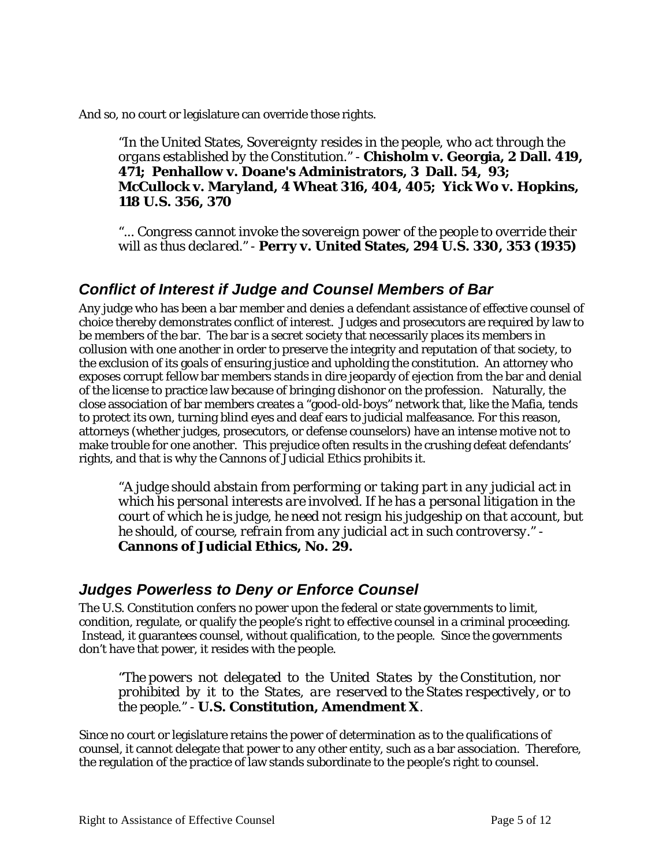<span id="page-4-0"></span>And so, no court or legislature can override those rights.

"In *the United States, Sovereignty resides in the people, who act through the organs established by the Constitution*." - **Chisholm v. Georgia, 2 Dall. 419, 471; Penhallow v. Doane's Administrators, 3 Dall. 54, 93; McCullock v. Maryland, 4 Wheat 316, 404, 405; Yick Wo v. Hopkins, 118 U.S. 356, 370**

"*... Congress cannot invoke the sovereign power of the people to override their will as thus declared."* - **Perry v. United States, 294 U.S. 330, 353 (1935)**

#### *Conflict of Interest if Judge and Counsel Members of Bar*

Any judge who has been a bar member and denies a defendant assistance of effective counsel of choice thereby demonstrates conflict of interest. Judges and prosecutors are required by law to be members of the bar. The bar is a secret society that necessarily places its members in collusion with one another in order to preserve the integrity and reputation of that society, to the exclusion of its goals of ensuring justice and upholding the constitution. An attorney who exposes corrupt fellow bar members stands in dire jeopardy of ejection from the bar and denial of the license to practice law because of bringing dishonor on the profession. Naturally, the close association of bar members creates a "good-old-boys" network that, like the Mafia, tends to protect its own, turning blind eyes and deaf ears to judicial malfeasance. For this reason, attorneys (whether judges, prosecutors, or defense counselors) have an intense motive not to make trouble for one another. This prejudice often results in the crushing defeat defendants' rights, and that is why the Cannons of Judicial Ethics prohibits it.

"*A judge should abstain from performing or taking part in any judicial act in which his personal interests are involved. If he has a personal litigation in the court of which he is judge, he need not resign his judgeship on that account, but he should, of course, refrain from any judicial act in such controversy.*" - **Cannons of Judicial Ethics, No. 29.**

#### *Judges Powerless to Deny or Enforce Counsel*

The U.S. Constitution confers no power upon the federal or state governments to limit, condition, regulate, or qualify the people's right to effective counsel in a criminal proceeding. Instead, it guarantees counsel, without qualification, to the people. Since the governments don't have that power, it resides with the people.

"*The powers not delegated to the United States by the Constitution, nor prohibited by it to the States, are reserved to the States respectively, or to the people.*" - **U.S. Constitution, Amendment X**.

Since no court or legislature retains the power of determination as to the qualifications of counsel, it cannot delegate that power to any other entity, such as a bar association. Therefore, the regulation of the practice of law stands subordinate to the people's right to counsel.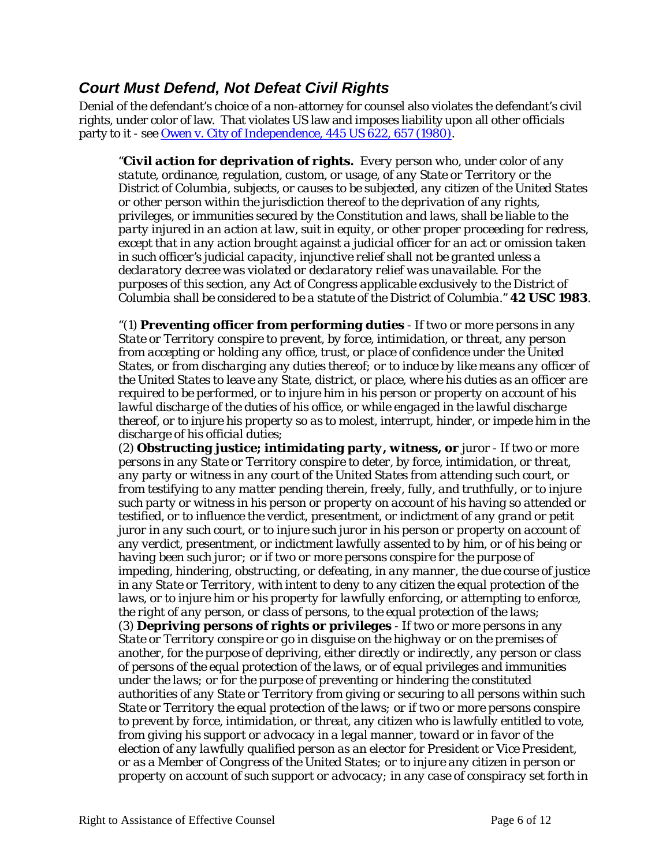### <span id="page-5-0"></span>*Court Must Defend, Not Defeat Civil Rights*

Denial of the defendant's choice of a non-attorney for counsel also violates the defendant's civil rights, under color of law. That violates US law and imposes liability upon all other officials party to it - see [Owen v. City of Independence, 445 US 622, 657 \(1980\).](http://caselaw.lp.findlaw.com/cgi-bin/getcase.pl?court=us&vol=445&invol=622)

"*Civil action for deprivation of rights. Every person who, under color of any statute, ordinance, regulation, custom, or usage, of any State or Territory or the District of Columbia, subjects, or causes to be subjected, any citizen of the United States or other person within the jurisdiction thereof to the deprivation of any rights, privileges, or immunities secured by the Constitution and laws, shall be liable to the party injured in an action at law, suit in equity, or other proper proceeding for redress, except that in any action brought against a judicial officer for an act or omission taken in such officer's judicial capacity, injunctive relief shall not be granted unless a declaratory decree was violated or declaratory relief was unavailable. For the purposes of this section, any Act of Congress applicable exclusively to the District of Columbia shall be considered to be a statute of the District of Columbia."* **42 USC 1983**.

"*(1) Preventing officer from performing duties - If two or more persons in any State or Territory conspire to prevent, by force, intimidation, or threat, any person from accepting or holding any office, trust, or place of confidence under the United States, or from discharging any duties thereof; or to induce by like means any officer of the United States to leave any State, district, or place, where his duties as an officer are required to be performed, or to injure him in his person or property on account of his lawful discharge of the duties of his office, or while engaged in the lawful discharge thereof, or to injure his property so as to molest, interrupt, hinder, or impede him in the discharge of his official duties;* 

*(2) Obstructing justice; intimidating party, witness, or juror - If two or more persons in any State or Territory conspire to deter, by force, intimidation, or threat, any party or witness in any court of the United States from attending such court, or from testifying to any matter pending therein, freely, fully, and truthfully, or to injure such party or witness in his person or property on account of his having so attended or testified, or to influence the verdict, presentment, or indictment of any grand or petit juror in any such court, or to injure such juror in his person or property on account of any verdict, presentment, or indictment lawfully assented to by him, or of his being or having been such juror; or if two or more persons conspire for the purpose of impeding, hindering, obstructing, or defeating, in any manner, the due course of justice in any State or Territory, with intent to deny to any citizen the equal protection of the laws, or to injure him or his property for lawfully enforcing, or attempting to enforce, the right of any person, or class of persons, to the equal protection of the laws; (3) Depriving persons of rights or privileges - If two or more persons in any State or Territory conspire or go in disguise on the highway or on the premises of another, for the purpose of depriving, either directly or indirectly, any person or class of persons of the equal protection of the laws, or of equal privileges and immunities under the laws; or for the purpose of preventing or hindering the constituted authorities of any State or Territory from giving or securing to all persons within such State or Territory the equal protection of the laws; or if two or more persons conspire to prevent by force, intimidation, or threat, any citizen who is lawfully entitled to vote, from giving his support or advocacy in a legal manner, toward or in favor of the election of any lawfully qualified person as an elector for President or Vice President, or as a Member of Congress of the United States; or to injure any citizen in person or property on account of such support or advocacy; in any case of conspiracy set forth in*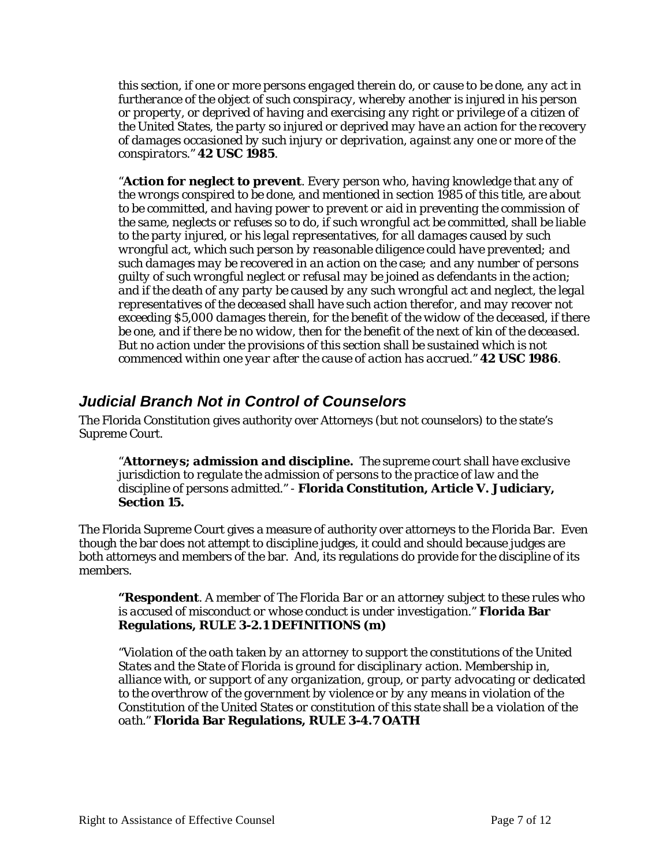<span id="page-6-0"></span>*this section, if one or more persons engaged therein do, or cause to be done, any act in furtherance of the object of such conspiracy, whereby another is injured in his person or property, or deprived of having and exercising any right or privilege of a citizen of the United States, the party so injured or deprived may have an action for the recovery of damages occasioned by such injury or deprivation, against any one or more of the conspirators."* **42 USC 1985**.

"*Action for neglect to prevent. Every person who, having knowledge that any of the wrongs conspired to be done, and mentioned in section [1985](http://www.law.cornell.edu/uscode/html/uscode42/usc_sec_42_00001985----000-.html) of this title, are about to be committed, and having power to prevent or aid in preventing the commission of the same, neglects or refuses so to do, if such wrongful act be committed, shall be liable to the party injured, or his legal representatives, for all damages caused by such wrongful act, which such person by reasonable diligence could have prevented; and such damages may be recovered in an action on the case; and any number of persons guilty of such wrongful neglect or refusal may be joined as defendants in the action; and if the death of any party be caused by any such wrongful act and neglect, the legal representatives of the deceased shall have such action therefor, and may recover not exceeding \$5,000 damages therein, for the benefit of the widow of the deceased, if there be one, and if there be no widow, then for the benefit of the next of kin of the deceased. But no action under the provisions of this section shall be sustained which is not commenced within one year after the cause of action has accrued."* **42 USC 1986**.

#### *Judicial Branch Not in Control of Counselors*

The Florida Constitution gives authority over Attorneys (but not counselors) to the state's Supreme Court.

"*Attorneys; admission and discipline. The supreme court shall have exclusive jurisdiction to regulate the admission of persons to the practice of law and the discipline of persons admitted."* - **Florida Constitution, Article V. Judiciary, Section 15.** 

The Florida Supreme Court gives a measure of authority over attorneys to the Florida Bar. Even though the bar does not attempt to discipline judges, it could and should because judges are both attorneys and members of the bar. And, its regulations do provide for the discipline of its members.

**"***Respondent. A member of The Florida Bar or an attorney subject to these rules who is accused of misconduct or whose conduct is under investigation.*" **Florida Bar Regulations, RULE 3-2.1 DEFINITIONS (m)** 

"*Violation of the oath taken by an attorney to support the constitutions of the United States and the State of Florida is ground for disciplinary action. Membership in, alliance with, or support of any organization, group, or party advocating or dedicated to the overthrow of the government by violence or by any means in violation of the Constitution of the United States or constitution of this state shall be a violation of the oath.*" **Florida Bar Regulations, RULE 3-4.7 OATH**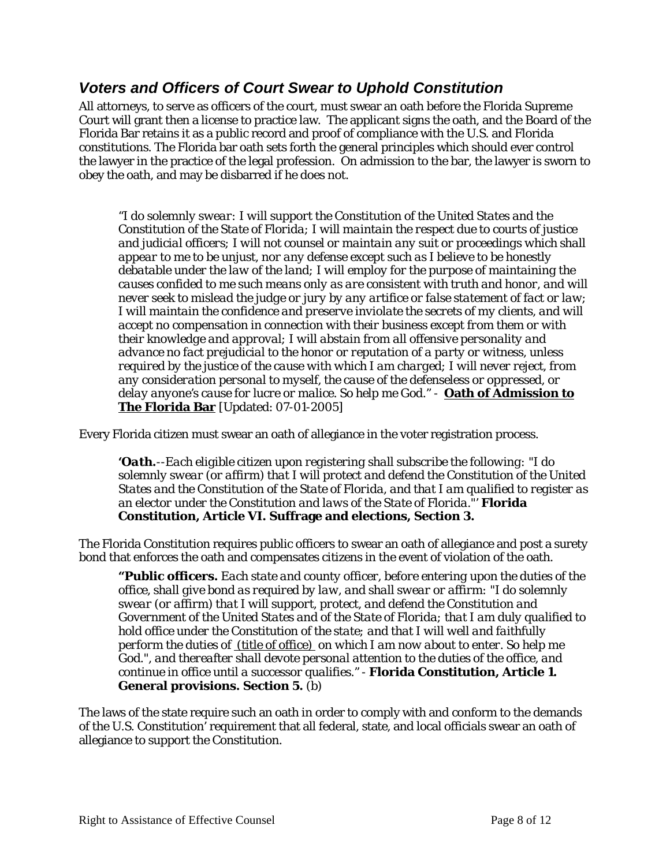### <span id="page-7-0"></span>*Voters and Officers of Court Swear to Uphold Constitution*

All attorneys, to serve as officers of the court, must swear an oath before the Florida Supreme Court will grant then a license to practice law. The applicant signs the oath, and the Board of the Florida Bar retains it as a public record and proof of compliance with the U.S. and Florida constitutions. The Florida bar oath sets forth the general principles which should ever control the lawyer in the practice of the legal profession. On admission to the bar, the lawyer is sworn to obey the oath, and may be disbarred if he does not.

"*I do solemnly swear: I will support the Constitution of the United States and the Constitution of the State of Florida; I will maintain the respect due to courts of justice and judicial officers; I will not counsel or maintain any suit or proceedings which shall appear to me to be unjust, nor any defense except such as I believe to be honestly debatable under the law of the land; I will employ for the purpose of maintaining the causes confided to me such means only as are consistent with truth and honor, and will never seek to mislead the judge or jury by any artifice or false statement of fact or law; I will maintain the confidence and preserve inviolate the secrets of my clients, and will accept no compensation in connection with their business except from them or with their knowledge and approval; I will abstain from all offensive personality and advance no fact prejudicial to the honor or reputation of a party or witness, unless required by the justice of the cause with which I am charged; I will never reject, from any consideration personal to myself, the cause of the defenseless or oppressed, or delay anyone's cause for lucre or malice. So help me God.*" - **[Oath of Admission to](http://www.floridabar.org/DIVCOM/JN/JNJournal01.nsf/76d28aa8f2ee03e185256aa9005d8d9a/4f51651d215a82c085256adb005d611f?OpenDocument)  [The Florida Bar](http://www.floridabar.org/DIVCOM/JN/JNJournal01.nsf/76d28aa8f2ee03e185256aa9005d8d9a/4f51651d215a82c085256adb005d611f?OpenDocument)** [Updated: 07-01-2005]

Every Florida citizen must swear an oath of allegiance in the voter registration process.

**'***Oath.--Each eligible citizen upon registering shall subscribe the following: "I do solemnly swear (or affirm) that I will protect and defend the Constitution of the United States and the Constitution of the State of Florida, and that I am qualified to register as an elector under the Constitution and laws of the State of Florida."*' **Florida Constitution, Article VI. Suffrage and elections, Section 3.**

The Florida Constitution requires public officers to swear an oath of allegiance and post a surety bond that enforces the oath and compensates citizens in the event of violation of the oath.

**"***Public officers. Each state and county officer, before entering upon the duties of the office, shall give bond as required by law, and shall swear or affirm: "I do solemnly swear (or affirm) that I will support, protect, and defend the Constitution and Government of the United States and of the State of Florida; that I am duly qualified to hold office under the Constitution of the state; and that I will well and faithfully perform the duties of (title of office) on which I am now about to enter. So help me God.", and thereafter shall devote personal attention to the duties of the office, and continue in office until a successor qualifies." -* **Florida Constitution, Article 1. General provisions. Section 5.** (b)

The laws of the state require such an oath in order to comply with and conform to the demands of the U.S. Constitution' requirement that all federal, state, and local officials swear an oath of allegiance to support the Constitution.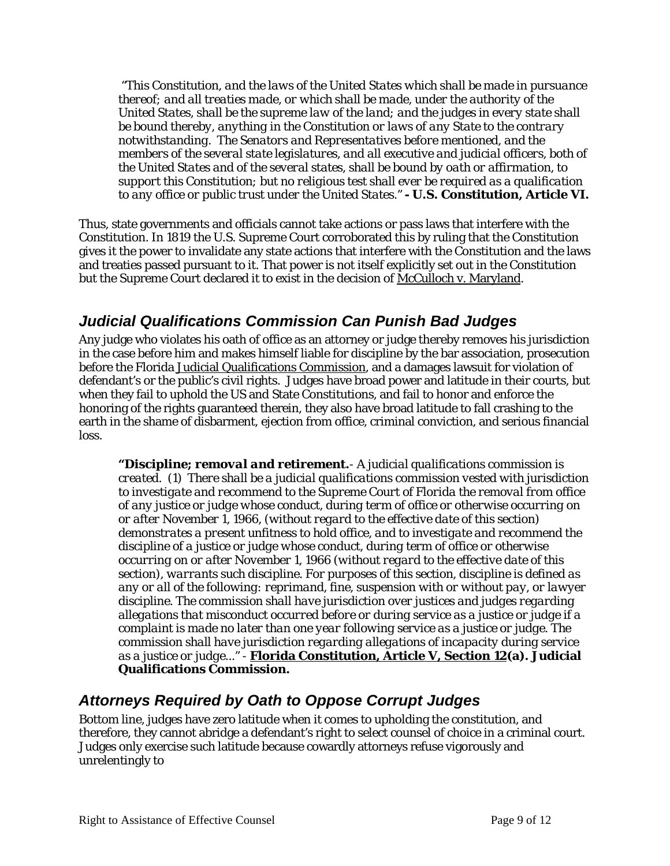<span id="page-8-0"></span> "*This Constitution, and the laws of the United States which shall be made in pursuance thereof; and all treaties made, or which shall be made, under the authority of the United States, shall be the supreme law of the land; and the judges in every state shall be bound thereby, anything in the Constitution or laws of any State to the contrary notwithstanding. The Senators and Representatives before mentioned, and the members of the several state legislatures, and all executive and judicial officers, both of the United States and of the several states, shall be bound by oath or affirmation, to support this Constitution; but no religious test shall ever be required as a qualification to any office or public trust under the United States."* **- U.S. Constitution, Article VI.**

Thus, state governments and officials cannot take actions or pass laws that interfere with the Constitution. In 1819 the U.S. Supreme Court corroborated this by ruling that the Constitution gives it the power to invalidate any state actions that interfere with the Constitution and the laws and treaties passed pursuant to it. That power is not itself explicitly set out in the Constitution but the Supreme Court declared it to exist in the decision of [McCulloch v. Maryland.](http://www.law.cornell.edu/supct-cgi/get-us-cite?17+316)

# *Judicial Qualifications Commission Can Punish Bad Judges*

Any judge who violates his oath of office as an attorney or judge thereby removes his jurisdiction in the case before him and makes himself liable for discipline by the bar association, prosecution before the Florida [Judicial Qualifications Commission](http://www.floridasupremecourt.org/pub_info/jqc.shtml), and a damages lawsuit for violation of defendant's or the public's civil rights. Judges have broad power and latitude in their courts, but when they fail to uphold the US and State Constitutions, and fail to honor and enforce the honoring of the rights guaranteed therein, they also have broad latitude to fall crashing to the earth in the shame of disbarment, ejection from office, criminal conviction, and serious financial loss.

*"Discipline; removal and retirement.- A judicial qualifications commission is created. (1) There shall be a judicial qualifications commission vested with jurisdiction to investigate and recommend to the Supreme Court of Florida the removal from office of any justice or judge whose conduct, during term of office or otherwise occurring on or after November 1, 1966, (without regard to the effective date of this section) demonstrates a present unfitness to hold office, and to investigate and recommend the discipline of a justice or judge whose conduct, during term of office or otherwise occurring on or after November 1, 1966 (without regard to the effective date of this section), warrants such discipline. For purposes of this section, discipline is defined as any or all of the following: reprimand, fine, suspension with or without pay, or lawyer discipline. The commission shall have jurisdiction over justices and judges regarding allegations that misconduct occurred before or during service as a justice or judge if a complaint is made no later than one year following service as a justice or judge. The commission shall have jurisdiction regarding allegations of incapacity during service as a justice or judge..."* - **[Florida Constitution, Article V, Section 12](http://www.flsenate.gov/Statutes/index.cfm?Mode=Constitution&Submenu=3&Tab=statutes&CFID=4088787&CFTOKEN=99451543#A05S12)(a). Judicial Qualifications Commission.**

# *Attorneys Required by Oath to Oppose Corrupt Judges*

Bottom line, judges have zero latitude when it comes to upholding the constitution, and therefore, they cannot abridge a defendant's right to select counsel of choice in a criminal court. Judges only exercise such latitude because cowardly attorneys refuse vigorously and unrelentingly to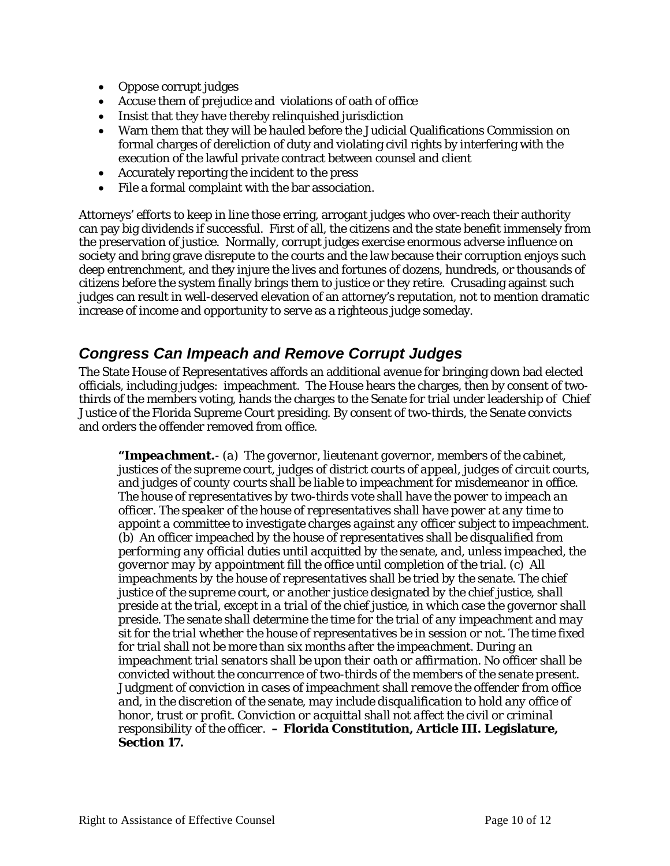- <span id="page-9-0"></span>• Oppose corrupt judges
- Accuse them of prejudice and violations of oath of office
- Insist that they have thereby relinquished jurisdiction
- Warn them that they will be hauled before the Judicial Qualifications Commission on formal charges of dereliction of duty and violating civil rights by interfering with the execution of the lawful private contract between counsel and client
- Accurately reporting the incident to the press
- File a formal complaint with the bar association.

Attorneys' efforts to keep in line those erring, arrogant judges who over-reach their authority can pay big dividends if successful. First of all, the citizens and the state benefit immensely from the preservation of justice. Normally, corrupt judges exercise enormous adverse influence on society and bring grave disrepute to the courts and the law because their corruption enjoys such deep entrenchment, and they injure the lives and fortunes of dozens, hundreds, or thousands of citizens before the system finally brings them to justice or they retire. Crusading against such judges can result in well-deserved elevation of an attorney's reputation, not to mention dramatic increase of income and opportunity to serve as a righteous judge someday.

#### *Congress Can Impeach and Remove Corrupt Judges*

The State House of Representatives affords an additional avenue for bringing down bad elected officials, including judges: impeachment. The House hears the charges, then by consent of twothirds of the members voting, hands the charges to the Senate for trial under leadership of Chief Justice of the Florida Supreme Court presiding. By consent of two-thirds, the Senate convicts and orders the offender removed from office.

**"***Impeachment.- (a) The governor, lieutenant governor, members of the cabinet, justices of the supreme court, judges of district courts of appeal, judges of circuit courts, and judges of county courts shall be liable to impeachment for misdemeanor in office. The house of representatives by two-thirds vote shall have the power to impeach an officer. The speaker of the house of representatives shall have power at any time to appoint a committee to investigate charges against any officer subject to impeachment. (b) An officer impeached by the house of representatives shall be disqualified from performing any official duties until acquitted by the senate, and, unless impeached, the governor may by appointment fill the office until completion of the trial. (c) All impeachments by the house of representatives shall be tried by the senate. The chief justice of the supreme court, or another justice designated by the chief justice, shall preside at the trial, except in a trial of the chief justice, in which case the governor shall preside. The senate shall determine the time for the trial of any impeachment and may sit for the trial whether the house of representatives be in session or not. The time fixed for trial shall not be more than six months after the impeachment. During an impeachment trial senators shall be upon their oath or affirmation. No officer shall be convicted without the concurrence of two-thirds of the members of the senate present. Judgment of conviction in cases of impeachment shall remove the offender from office and, in the discretion of the senate, may include disqualification to hold any office of honor, trust or profit. Conviction or acquittal shall not affect the civil or criminal responsibility of the officer.* **– Florida Constitution, Article III. Legislature, Section 17.**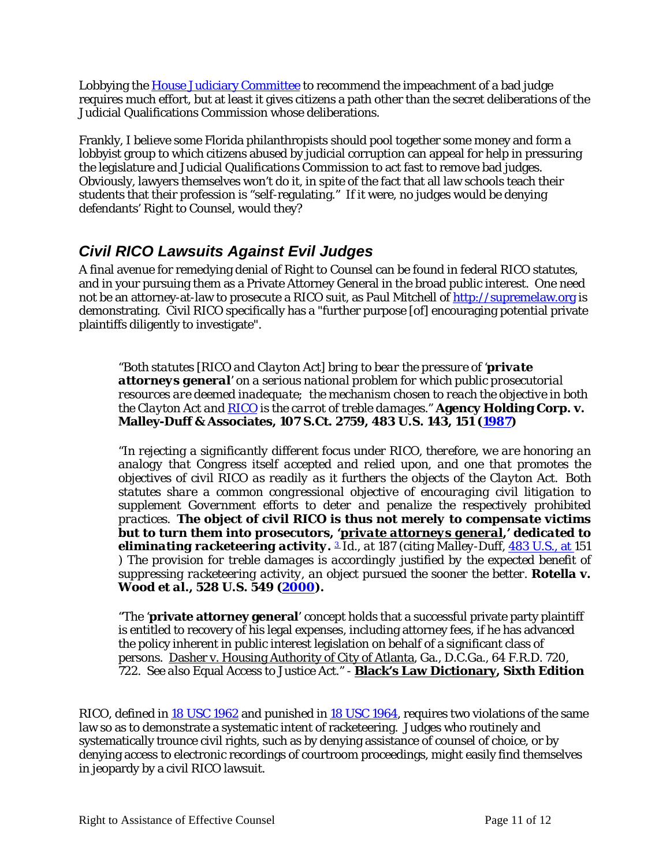<span id="page-10-0"></span>Lobbying the [House Judiciary Committee](http://www.myfloridahouse.gov/sections/Committees/committeesdetail.aspx?SessionId=42&CommitteeId=2267) to recommend the impeachment of a bad judge requires much effort, but at least it gives citizens a path other than the secret deliberations of the Judicial Qualifications Commission whose deliberations.

Frankly, I believe some Florida philanthropists should pool together some money and form a lobbyist group to which citizens abused by judicial corruption can appeal for help in pressuring the legislature and Judicial Qualifications Commission to act fast to remove bad judges. Obviously, lawyers themselves won't do it, in spite of the fact that all law schools teach their students that their profession is "self-regulating." If it were, no judges would be denying defendants' Right to Counsel, would they?

# *Civil RICO Lawsuits Against Evil Judges*

A final avenue for remedying denial of Right to Counsel can be found in federal RICO statutes, and in your pursuing them as a Private Attorney General in the broad public interest. One need not be an attorney-at-law to prosecute a RICO suit, as Paul Mitchell of [http://supremelaw.org](http://supremelaw.org/) is demonstrating. Civil RICO specifically has a "further purpose [of] encouraging potential private plaintiffs diligently to investigate".

"*Both statutes [RICO and Clayton Act] bring to bear the pressure of 'private attorneys general' on a serious national problem for which public prosecutorial resources are deemed inadequate; the mechanism chosen to reach the objective in both the Clayton Act and [RICO](http://www.law.cornell.edu/uscode/18/1964.html) is the carrot of treble damages.*" **Agency Holding Corp. v. Malley-Duff & Associates, 107 S.Ct. 2759, 483 U.S. 143, 151 ([1987](http://laws.findlaw.com/us/483/143.html))**

"*In rejecting a significantly different focus under RICO, therefore, we are honoring an analogy that Congress itself accepted and relied upon, and one that promotes the objectives of civil RICO as readily as it furthers the objects of the Clayton Act. Both statutes share a common congressional objective of encouraging civil litigation to supplement Government efforts to deter and penalize the respectively prohibited practices. The object of civil RICO is thus not merely to compensate victims but to turn them into prosecutors, 'private attorneys general,' dedicated to eliminating racketeering activity. [3](http://laws.findlaw.com/us/528/549.html#fn1.3)* Id.*, at 187* (citing *Malley-Duff*, [483 U.S., at 151](http://caselaw.lp.findlaw.com/cgi-bin/getcase.pl?navby=case&court=us&vol=483&page=151)  ) The provision for treble damages is accordingly justified by the expected benefit of *suppressing racketeering activity, an object pursued the sooner the better.* **Rotella v. Wood** *et al.***, 528 U.S. 549 ([2000\)](http://laws.findlaw.com/us/528/549.html).** 

"The '**private attorney general**' concept holds that a successful private party plaintiff is entitled to recovery of his legal expenses, including attorney fees, if he has advanced the policy inherent in public interest legislation on behalf of a significant class of persons. Dasher v. Housing Authority of City of Atlanta, Ga., D.C.Ga., 64 F.R.D. 720, 722. *See also* Equal Access to Justice Act." - **Black's Law Dictionary, Sixth Edition**

RICO, defined in [18 USC 1962](http://www.law.cornell.edu/uscode/html/uscode18/usc_sec_18_00001962----000-.html) and punished in [18 USC 1964](http://www.law.cornell.edu/uscode/html/uscode18/usc_sec_18_00001964----000-.html), requires two violations of the same law so as to demonstrate a systematic intent of racketeering. Judges who routinely and systematically trounce civil rights, such as by denying assistance of counsel of choice, or by denying access to electronic recordings of courtroom proceedings, might easily find themselves in jeopardy by a civil RICO lawsuit.